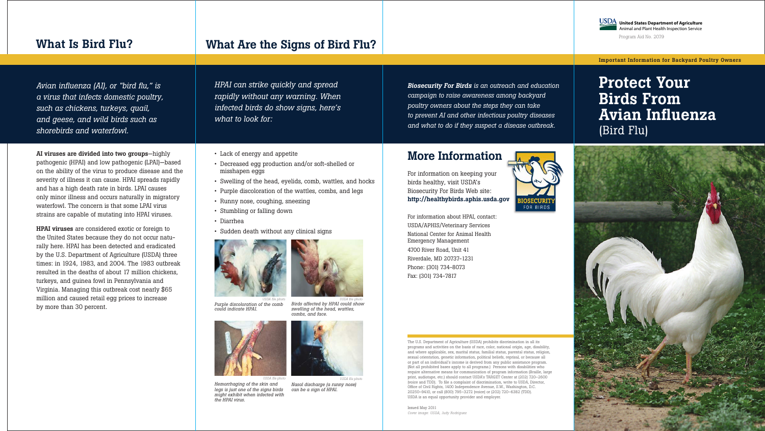#### More Information

*Biosecurity For Birds is an outreach and education campaign to raise awareness among backyard poultry owners about the steps they can take to prevent AI and other infectious poultry diseases and what to do if they suspect a disease outbreak.*

For information on keeping your birds healthy, visit USDA's Biosecurity For Birds Web site: http://healthybirds.aphis.usda.gov



For information about HPAI, contact: USDA/APHIS/Veterinary Services National Center for Animal Health Emergency Management 4700 River Road, Unit 41 Riverdale, MD 20737-1231 Phone: (301) 734-8073 Fax: (301) 734-7817

The U.S. Department of Agriculture (USDA) prohibits discrimination in all its programs and activities on the basis of race, color, national origin, age, disability, and where applicable, sex, marital status, familial status, parental status, religion, sexual orientation, genetic information, political beliefs, reprisal, or because all or part of an individual's income is derived from any public assistance program. (Not all prohibited bases apply to all programs.) Persons with disabilities who require alternative means for communication of program information (Braille, large print, audiotape, etc.) should contact USDA's TARGET Center at (202) 720–2600 (voice and TDD). To file a complaint of discrimination, write to USDA, Director, Office of Civil Rights, 1400 Independence Avenue, S.W., Washington, D.C. 20250–9410, or call (800) 795–3272 (voice) or (202) 720–6382 (TDD). USDA is an equal opportunity provider and employer.

Issued May 2011 *Cover image: USDA, Judy Rodriguez*



# Protect Your Birds From Avian Influenza (Bird Flu)





 *USDA file photo Purple discoloration of the comb could indicate HPAI.*

 *USDA file photo Birds affected by HPAI could show swelling of the head, wattles, combs, and face.*



 *USDA file photo Hemorrhaging of the skin and legs is just one of the signs birds might exhibit when infected with the HPAI virus.*



 *USDA file photo Nasal discharge (a runny nose) can be a sign of HPAI.* 

## What Are the Signs of Bird Flu?

Important Information for Backyard Poultry Owners

*Avian influenza (AI), or "bird flu," is a virus that infects domestic poultry, such as chickens, turkeys, quail, and geese, and wild birds such as shorebirds and waterfowl.*

AI viruses are divided into two groups—highly pathogenic (HPAI) and low pathogenic (LPAI)—based on the ability of the virus to produce disease and the severity of illness it can cause. HPAI spreads rapidly and has a high death rate in birds. LPAI causes only minor illness and occurs naturally in migratory waterfowl. The concern is that some LPAI virus strains are capable of mutating into HPAI viruses.

**United States Department of Agriculture United States Department of Agriculture** Animal and Plant Health Inspection Service Animal and Plant Health Inspection Service Program Aid No. 2079

HPAI viruses are considered exotic or foreign to the United States because they do not occur naturally here. HPAI has been detected and eradicated by the U.S. Department of Agriculture (USDA) three times: in 1924, 1983, and 2004. The 1983 outbreak resulted in the deaths of about 17 million chickens, turkeys, and guinea fowl in Pennsylvania and Virginia. Managing this outbreak cost nearly \$65 million and caused retail egg prices to increase by more than 30 percent.

### What Is Bird Flu?

*HPAI can strike quickly and spread rapidly without any warning. When infected birds do show signs, here's what to look for:* 

- Lack of energy and appetite
- Decreased egg production and/or soft-shelled or misshapen eggs
- Swelling of the head, eyelids, comb, wattles, and hocks
- Purple discoloration of the wattles, combs, and legs
- Runny nose, coughing, sneezing
- Stumbling or falling down
- Diarrhea
- Sudden death without any clinical signs